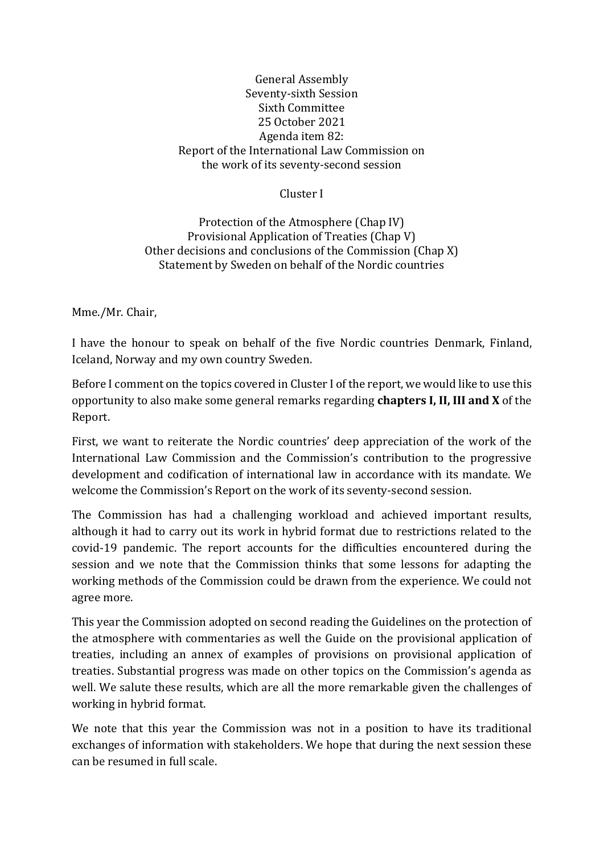## General Assembly Seventy-sixth Session Sixth Committee 25 October 2021 Agenda item 82: Report of the International Law Commission on the work of its seventy-second session

## Cluster I

Protection of the Atmosphere (Chap IV) Provisional Application of Treaties (Chap V) Other decisions and conclusions of the Commission (Chap X) Statement by Sweden on behalf of the Nordic countries

Mme./Mr. Chair,

I have the honour to speak on behalf of the five Nordic countries Denmark, Finland, Iceland, Norway and my own country Sweden.

Before I comment on the topics covered in Cluster I of the report, we would like to use this opportunity to also make some general remarks regarding **chapters I, II, III and X** of the Report.

First, we want to reiterate the Nordic countries' deep appreciation of the work of the International Law Commission and the Commission's contribution to the progressive development and codification of international law in accordance with its mandate. We welcome the Commission's Report on the work of its seventy-second session.

The Commission has had a challenging workload and achieved important results, although it had to carry out its work in hybrid format due to restrictions related to the covid-19 pandemic. The report accounts for the difficulties encountered during the session and we note that the Commission thinks that some lessons for adapting the working methods of the Commission could be drawn from the experience. We could not agree more.

This year the Commission adopted on second reading the Guidelines on the protection of the atmosphere with commentaries as well the Guide on the provisional application of treaties, including an annex of examples of provisions on provisional application of treaties. Substantial progress was made on other topics on the Commission's agenda as well. We salute these results, which are all the more remarkable given the challenges of working in hybrid format.

We note that this year the Commission was not in a position to have its traditional exchanges of information with stakeholders. We hope that during the next session these can be resumed in full scale.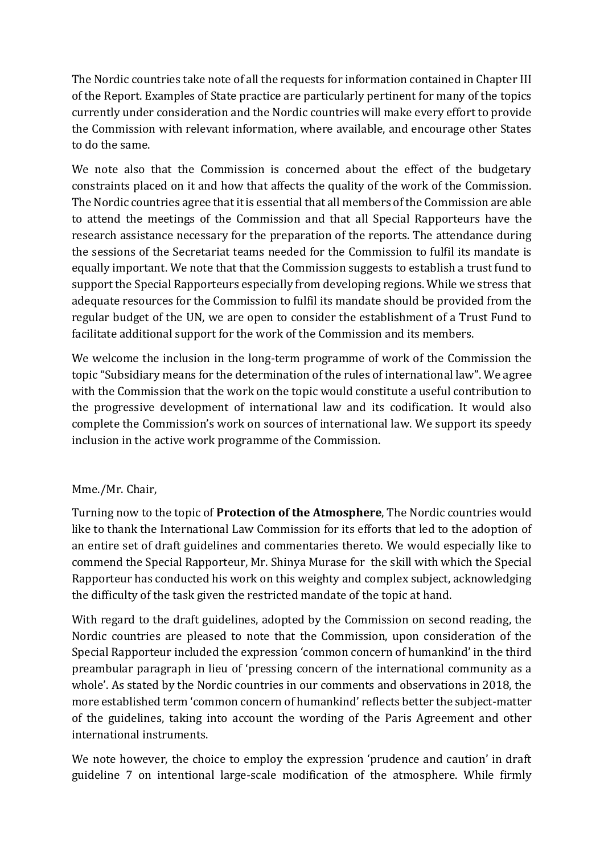The Nordic countries take note of all the requests for information contained in Chapter III of the Report. Examples of State practice are particularly pertinent for many of the topics currently under consideration and the Nordic countries will make every effort to provide the Commission with relevant information, where available, and encourage other States to do the same.

We note also that the Commission is concerned about the effect of the budgetary constraints placed on it and how that affects the quality of the work of the Commission. The Nordic countries agree that it is essential that all members of the Commission are able to attend the meetings of the Commission and that all Special Rapporteurs have the research assistance necessary for the preparation of the reports. The attendance during the sessions of the Secretariat teams needed for the Commission to fulfil its mandate is equally important. We note that that the Commission suggests to establish a trust fund to support the Special Rapporteurs especially from developing regions. While we stress that adequate resources for the Commission to fulfil its mandate should be provided from the regular budget of the UN, we are open to consider the establishment of a Trust Fund to facilitate additional support for the work of the Commission and its members.

We welcome the inclusion in the long-term programme of work of the Commission the topic "Subsidiary means for the determination of the rules of international law". We agree with the Commission that the work on the topic would constitute a useful contribution to the progressive development of international law and its codification. It would also complete the Commission's work on sources of international law. We support its speedy inclusion in the active work programme of the Commission.

## Mme./Mr. Chair,

Turning now to the topic of **Protection of the Atmosphere**, The Nordic countries would like to thank the International Law Commission for its efforts that led to the adoption of an entire set of draft guidelines and commentaries thereto. We would especially like to commend the Special Rapporteur, Mr. Shinya Murase for the skill with which the Special Rapporteur has conducted his work on this weighty and complex subject, acknowledging the difficulty of the task given the restricted mandate of the topic at hand.

With regard to the draft guidelines, adopted by the Commission on second reading, the Nordic countries are pleased to note that the Commission, upon consideration of the Special Rapporteur included the expression 'common concern of humankind' in the third preambular paragraph in lieu of 'pressing concern of the international community as a whole'. As stated by the Nordic countries in our comments and observations in 2018, the more established term 'common concern of humankind' reflects better the subject-matter of the guidelines, taking into account the wording of the Paris Agreement and other international instruments.

We note however, the choice to employ the expression 'prudence and caution' in draft guideline 7 on intentional large-scale modification of the atmosphere. While firmly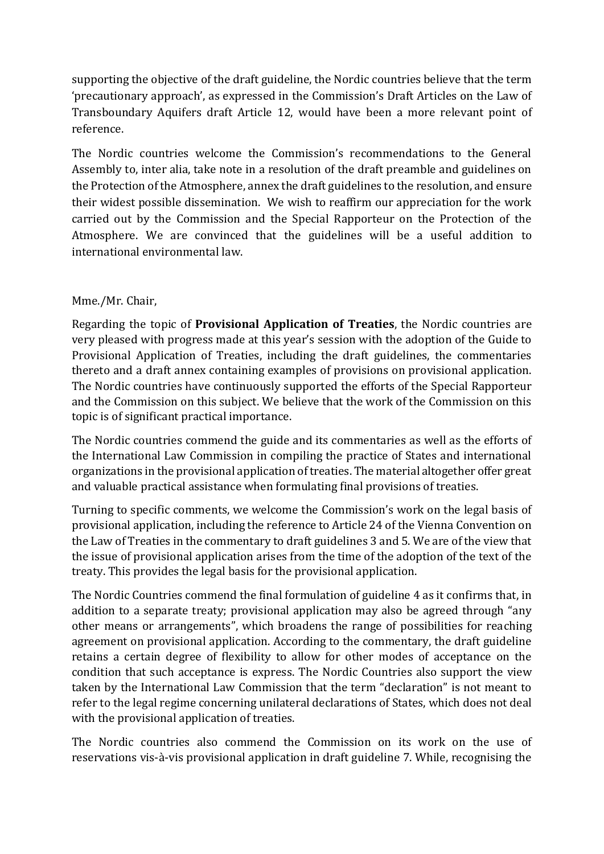supporting the objective of the draft guideline, the Nordic countries believe that the term 'precautionary approach', as expressed in the Commission's Draft Articles on the Law of Transboundary Aquifers draft Article 12, would have been a more relevant point of reference.

The Nordic countries welcome the Commission's recommendations to the General Assembly to, inter alia, take note in a resolution of the draft preamble and guidelines on the Protection of the Atmosphere, annex the draft guidelines to the resolution, and ensure their widest possible dissemination. We wish to reaffirm our appreciation for the work carried out by the Commission and the Special Rapporteur on the Protection of the Atmosphere. We are convinced that the guidelines will be a useful addition to international environmental law.

## Mme./Mr. Chair,

Regarding the topic of **Provisional Application of Treaties**, the Nordic countries are very pleased with progress made at this year's session with the adoption of the Guide to Provisional Application of Treaties, including the draft guidelines, the commentaries thereto and a draft annex containing examples of provisions on provisional application. The Nordic countries have continuously supported the efforts of the Special Rapporteur and the Commission on this subject. We believe that the work of the Commission on this topic is of significant practical importance.

The Nordic countries commend the guide and its commentaries as well as the efforts of the International Law Commission in compiling the practice of States and international organizations in the provisional application of treaties. The material altogether offer great and valuable practical assistance when formulating final provisions of treaties.

Turning to specific comments, we welcome the Commission's work on the legal basis of provisional application, including the reference to Article 24 of the Vienna Convention on the Law of Treaties in the commentary to draft guidelines 3 and 5. We are of the view that the issue of provisional application arises from the time of the adoption of the text of the treaty. This provides the legal basis for the provisional application.

The Nordic Countries commend the final formulation of guideline 4 as it confirms that, in addition to a separate treaty; provisional application may also be agreed through "any other means or arrangements", which broadens the range of possibilities for reaching agreement on provisional application. According to the commentary, the draft guideline retains a certain degree of flexibility to allow for other modes of acceptance on the condition that such acceptance is express. The Nordic Countries also support the view taken by the International Law Commission that the term "declaration" is not meant to refer to the legal regime concerning unilateral declarations of States, which does not deal with the provisional application of treaties.

The Nordic countries also commend the Commission on its work on the use of reservations vis-à-vis provisional application in draft guideline 7. While, recognising the